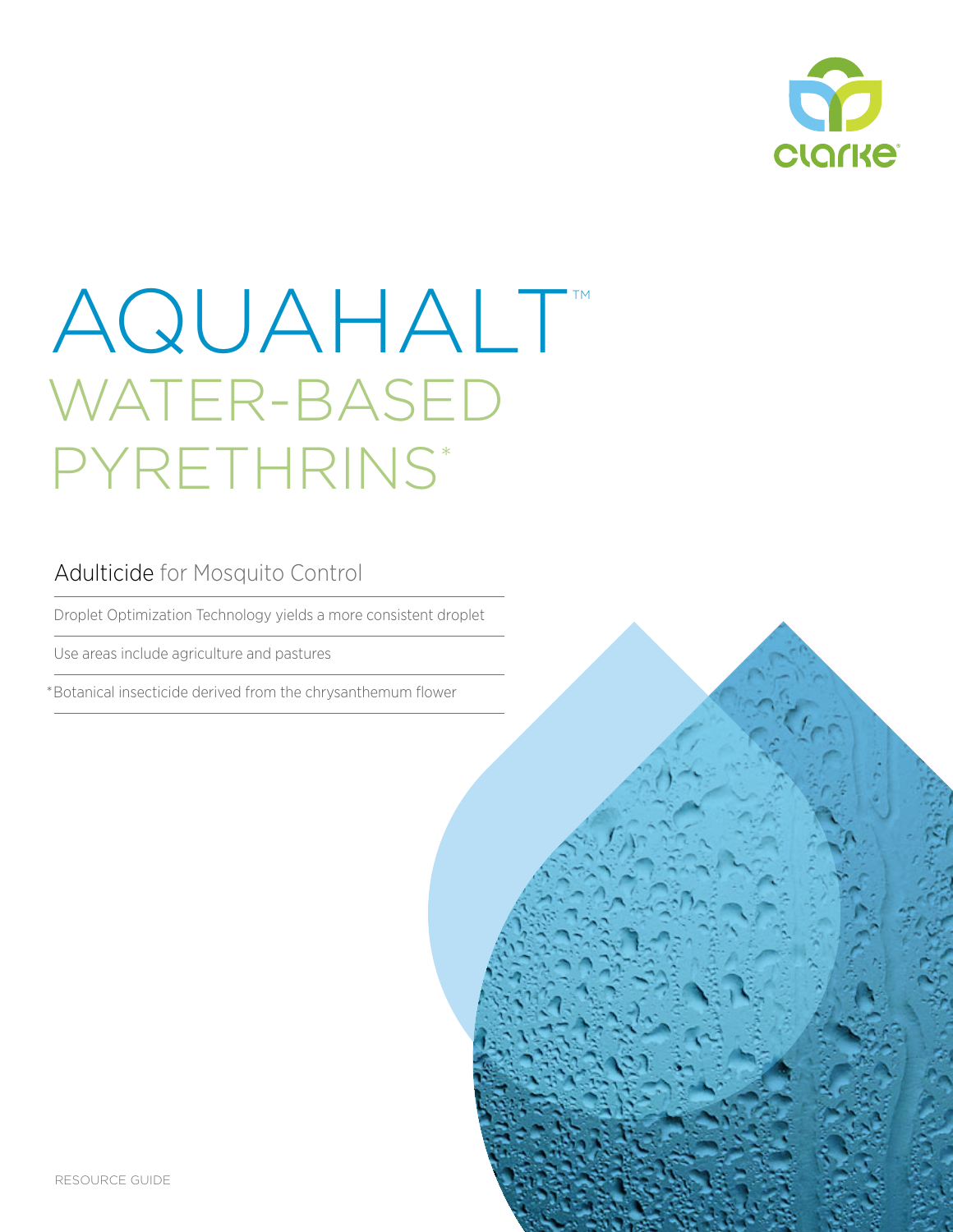

# AQUAHALT WATER-BASED PYRETHRINS\*

#### Adulticide for Mosquito Control

Droplet Optimization Technology yields a more consistent droplet

Use areas include agriculture and pastures

\*Botanical insecticide derived from the chrysanthemum flower

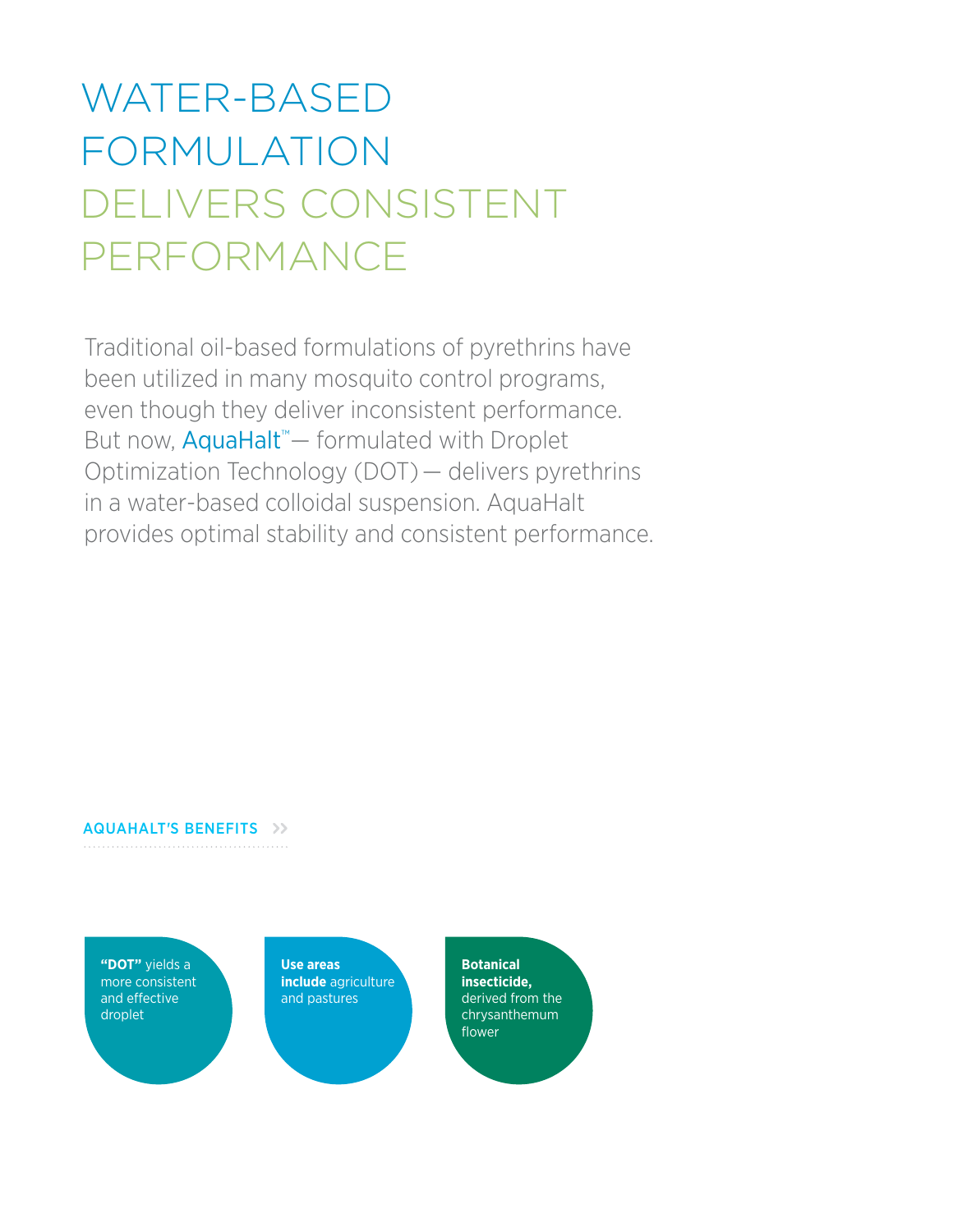### WATER-BASED FORMULATION DELIVERS CONSISTENT PERFORMANCE

Traditional oil-based formulations of pyrethrins have been utilized in many mosquito control programs, even though they deliver inconsistent performance. But now, AquaHalt<sup>™</sup> — formulated with Droplet Optimization Technology (DOT) — delivers pyrethrins in a water-based colloidal suspension. AquaHalt provides optimal stability and consistent performance.

#### AQUAHALT'S BENEFITS >>

**"DOT"** yields a more consistent and effective droplet

**Use areas include** agriculture and pastures

**Botanical insecticide,**  derived from the chrysanthemum flower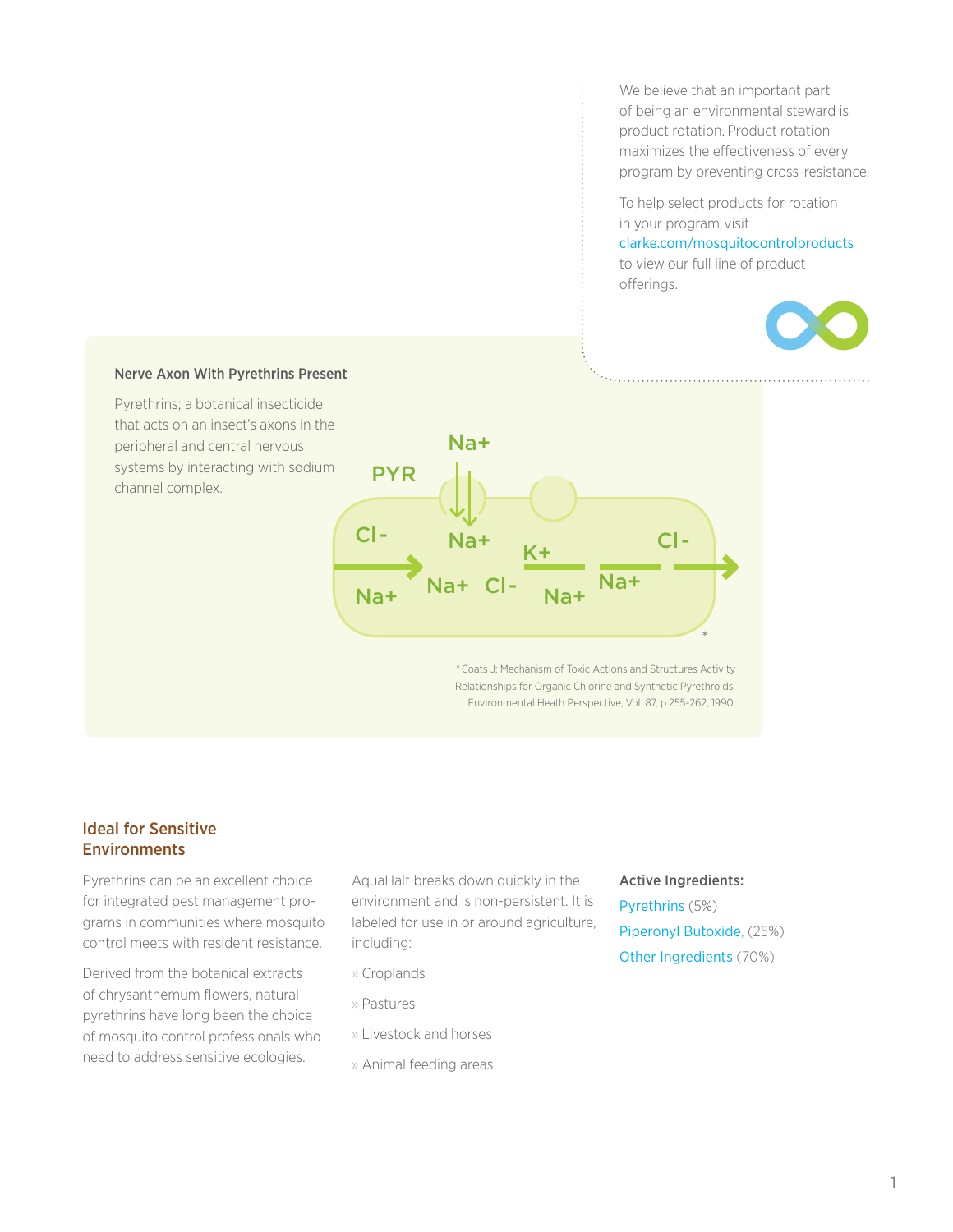We believe that an important part of being an environmental steward is product rotation. Product rotation maximizes the effectiveness of every program by preventing cross-resistance.

To help select products for rotation in your program, visit clarke.com/mosquitocontrolproducts

to view our full line of product offerings.



#### Nerve Axon With Pyrethrins Present

Pyrethrins; a botanical insecticide that acts on an insect's axons in the peripheral and central nervous systems by interacting with sodium channel complex.



\* Coats J; Mechanism of Toxic Actions and Structures Activity Relationships for Organic Chlorine and Synthetic Pyrethroids. Environmental Heath Perspective, Vol. 87, p.255-262, 1990.

#### Ideal for Sensitive **Environments**

Pyrethrins can be an excellent choice for integrated pest management programs in communities where mosquito control meets with resident resistance.

Derived from the botanical extracts of chrysanthemum flowers, natural pyrethrins have long been the choice of mosquito control professionals who need to address sensitive ecologies.

AquaHalt breaks down quickly in the environment and is non-persistent. It is labeled for use in or around agriculture, including:

- » Croplands
- » Pastures
- » Livestock and horses
- » Animal feeding areas

#### Active Ingredients:

Pyrethrins (5%) Piperonyl Butoxide, (25%) Other Ingredients (70%)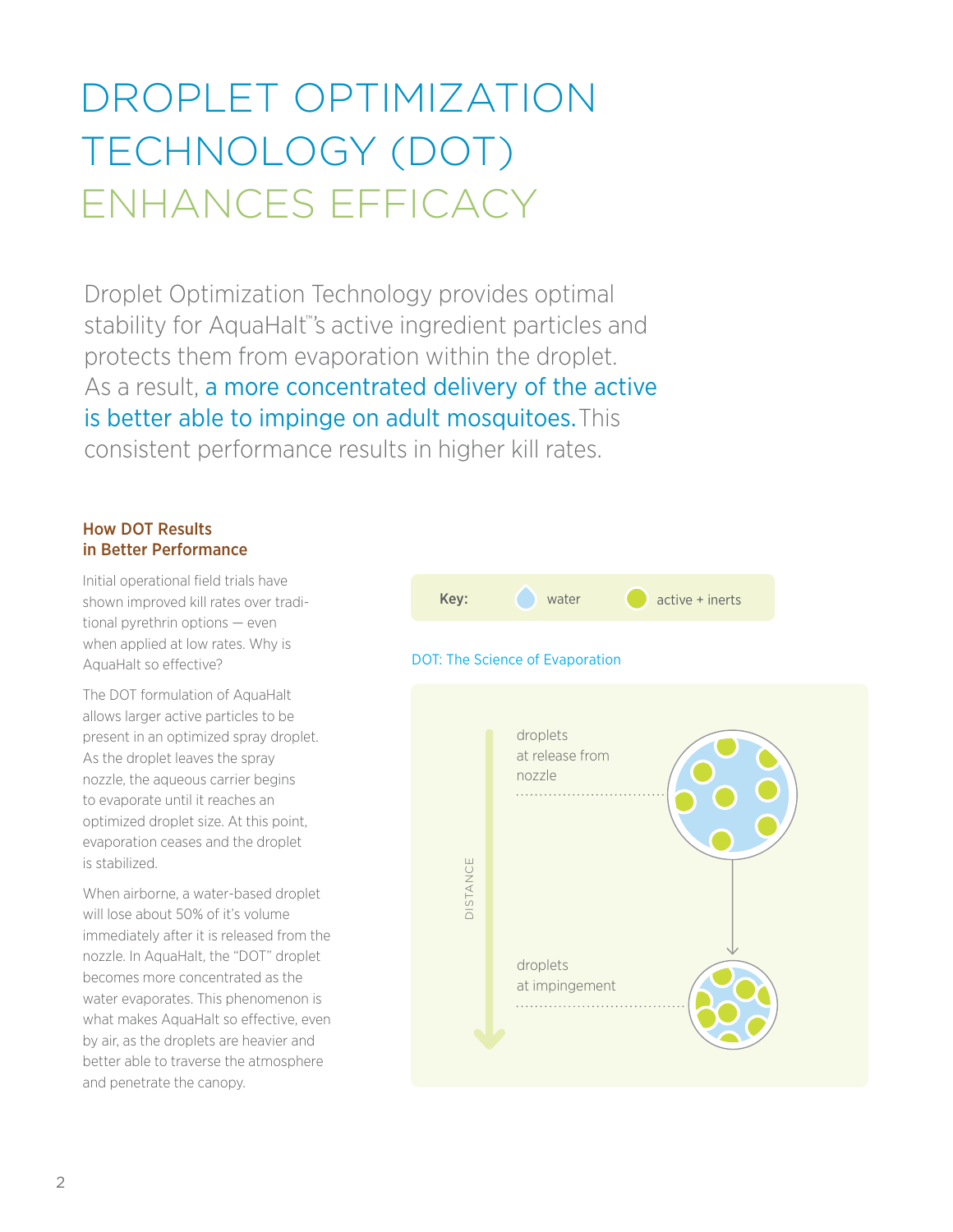### DROPLET OPTIMIZATION TECHNOLOGY (DOT) ENHANCES EFFICACY

Droplet Optimization Technology provides optimal stability for AquaHalt<sup>™</sup>'s active ingredient particles and protects them from evaporation within the droplet. As a result, a more concentrated delivery of the active is better able to impinge on adult mosquitoes. This consistent performance results in higher kill rates.

#### How DOT Results in Better Performance

Initial operational field trials have shown improved kill rates over traditional pyrethrin options — even when applied at low rates. Why is AquaHalt so effective?

The DOT formulation of AquaHalt allows larger active particles to be present in an optimized spray droplet. As the droplet leaves the spray nozzle, the aqueous carrier begins to evaporate until it reaches an optimized droplet size. At this point, evaporation ceases and the droplet is stabilized.

When airborne, a water-based droplet will lose about 50% of it's volume immediately after it is released from the nozzle. In AquaHalt, the "DOT" droplet becomes more concentrated as the water evaporates. This phenomenon is what makes AquaHalt so effective, even by air, as the droplets are heavier and better able to traverse the atmosphere and penetrate the canopy.



#### DOT: The Science of Evaporation

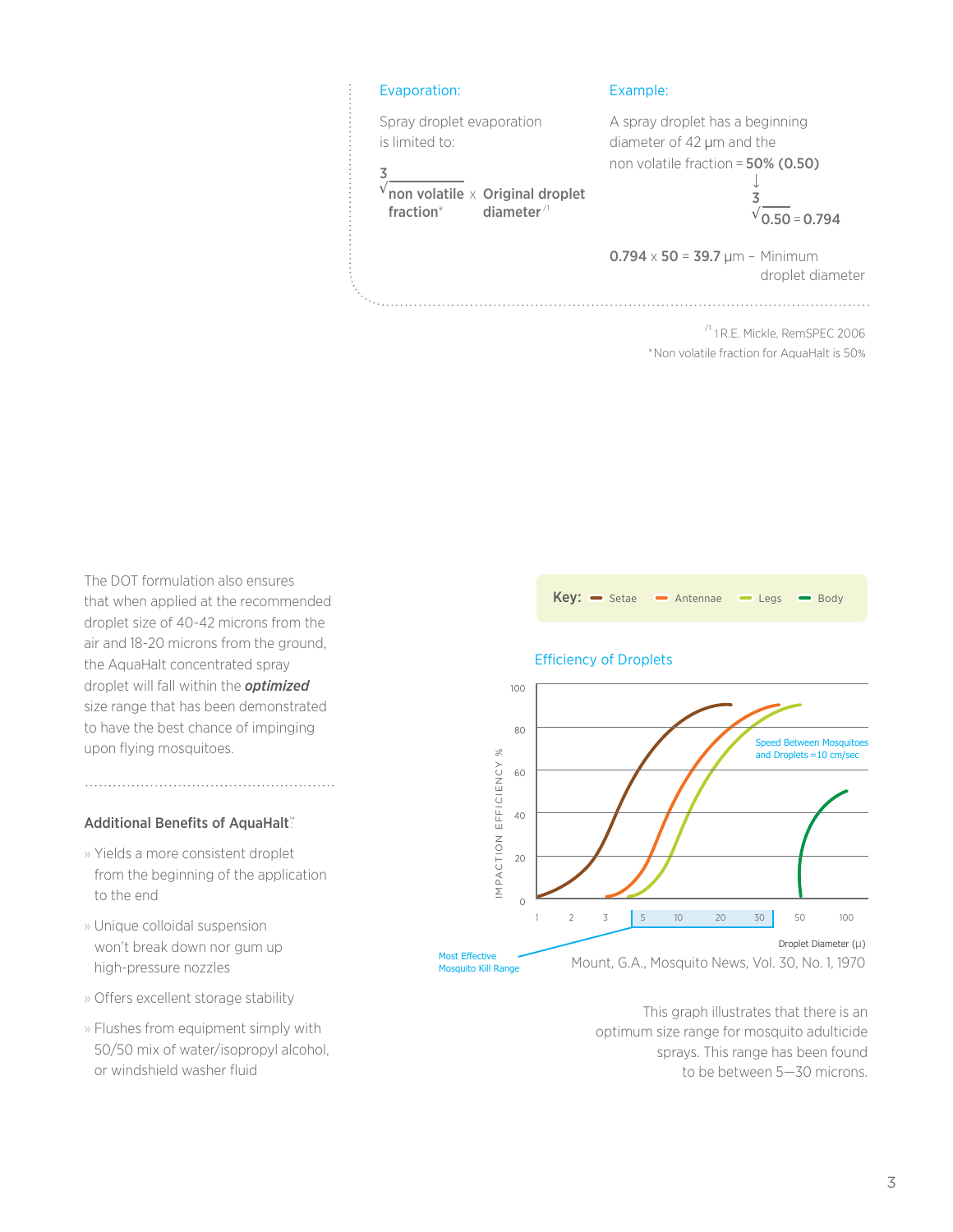

\*Non volatile fraction for AquaHalt is 50%

The DOT formulation also ensures that when applied at the recommended droplet size of 40-42 microns from the air and 18-20 microns from the ground, the AquaHalt concentrated spray droplet will fall within the *optimized* size range that has been demonstrated to have the best chance of impinging upon flying mosquitoes.

#### Additional Benefits of AquaHalt™

- » Yields a more consistent droplet from the beginning of the application to the end
- » Unique colloidal suspension won't break down nor gum up high-pressure nozzles
- » Offers excellent storage stability
- » Flushes from equipment simply with 50/50 mix of water/isopropyl alcohol, or windshield washer fluid





This graph illustrates that there is an optimum size range for mosquito adulticide sprays. This range has been found to be between 5—30 microns.

#### 3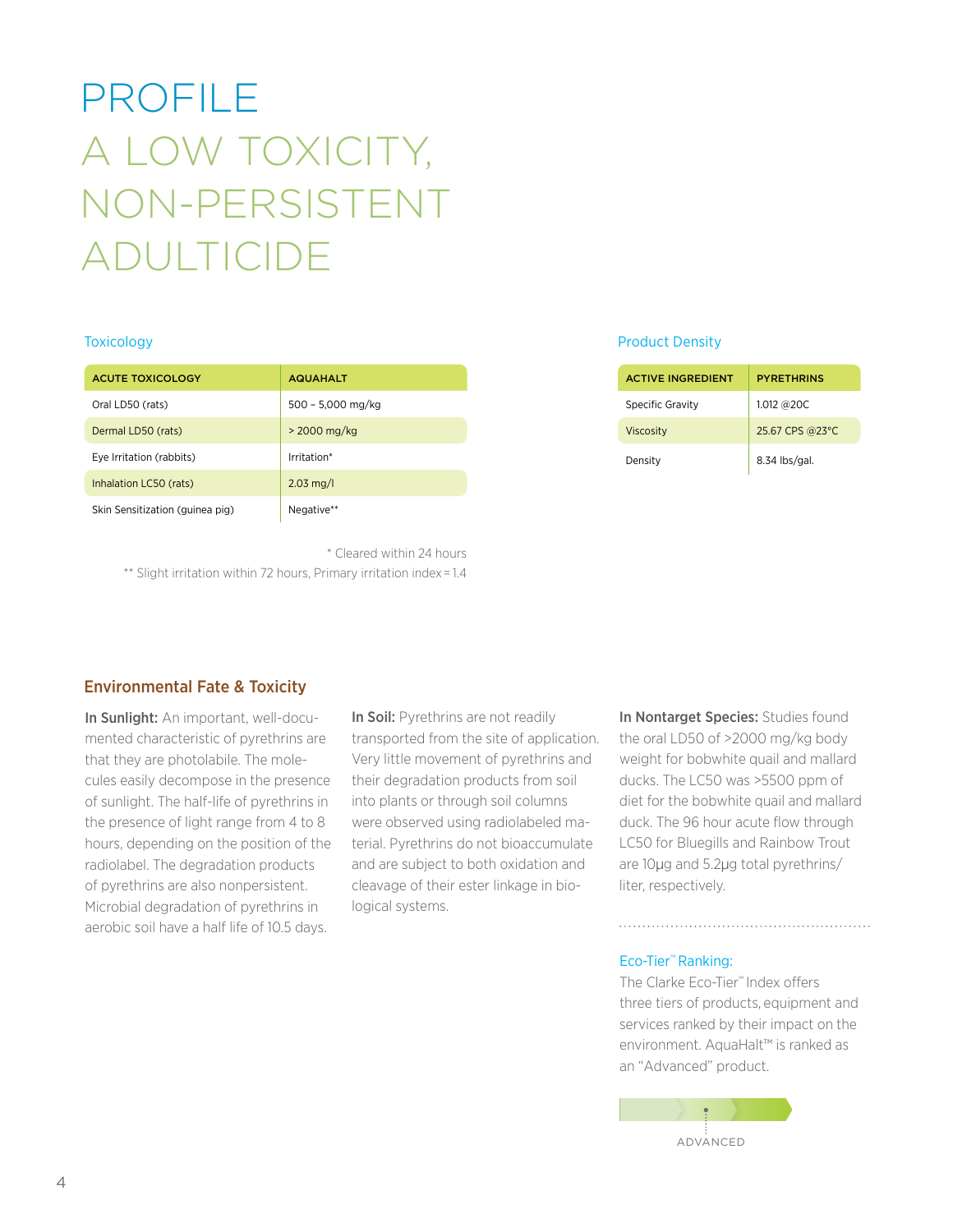## profile a LOW TOXICITY, NON-PERSISTENT Adulticide

| <b>ACUTE TOXICOLOGY</b>         | <b>AQUAHALT</b>        |
|---------------------------------|------------------------|
| Oral LD50 (rats)                | 500 - 5,000 mg/kg      |
| Dermal LD50 (rats)              | $>$ 2000 mg/kg         |
| Eye Irritation (rabbits)        | Irritation*            |
| Inhalation LC50 (rats)          | $2.03 \,\mathrm{mg/l}$ |
| Skin Sensitization (guinea pig) | Negative**             |

\* Cleared within 24 hours

\*\* Slight irritation within 72 hours, Primary irritation index = 1.4

#### Toxicology Product Density

| <b>ACTIVE INGREDIENT</b> | <b>PYRETHRINS</b> |
|--------------------------|-------------------|
| Specific Gravity         | 1.012 @20C        |
| <b>Viscosity</b>         | 25.67 CPS @23°C   |
| Density                  | 8.34 lbs/gal.     |

#### Environmental Fate & Toxicity

In Sunlight: An important, well-documented characteristic of pyrethrins are that they are photolabile. The molecules easily decompose in the presence of sunlight. The half-life of pyrethrins in the presence of light range from 4 to 8 hours, depending on the position of the radiolabel. The degradation products of pyrethrins are also nonpersistent. Microbial degradation of pyrethrins in aerobic soil have a half life of 10.5 days.

In Soil: Pyrethrins are not readily transported from the site of application. Very little movement of pyrethrins and their degradation products from soil into plants or through soil columns were observed using radiolabeled material. Pyrethrins do not bioaccumulate and are subject to both oxidation and cleavage of their ester linkage in biological systems.

In Nontarget Species: Studies found the oral LD50 of >2000 mg/kg body weight for bobwhite quail and mallard ducks. The LC50 was >5500 ppm of diet for the bobwhite quail and mallard duck. The 96 hour acute flow through LC50 for Bluegills and Rainbow Trout are 10μg and 5.2μg total pyrethrins/ liter, respectively.

#### Eco-Tier™ Ranking:

The Clarke Eco-Tier™ Index offers three tiers of products, equipment and services ranked by their impact on the environment. AquaHalt™ is ranked as an "Advanced" product.

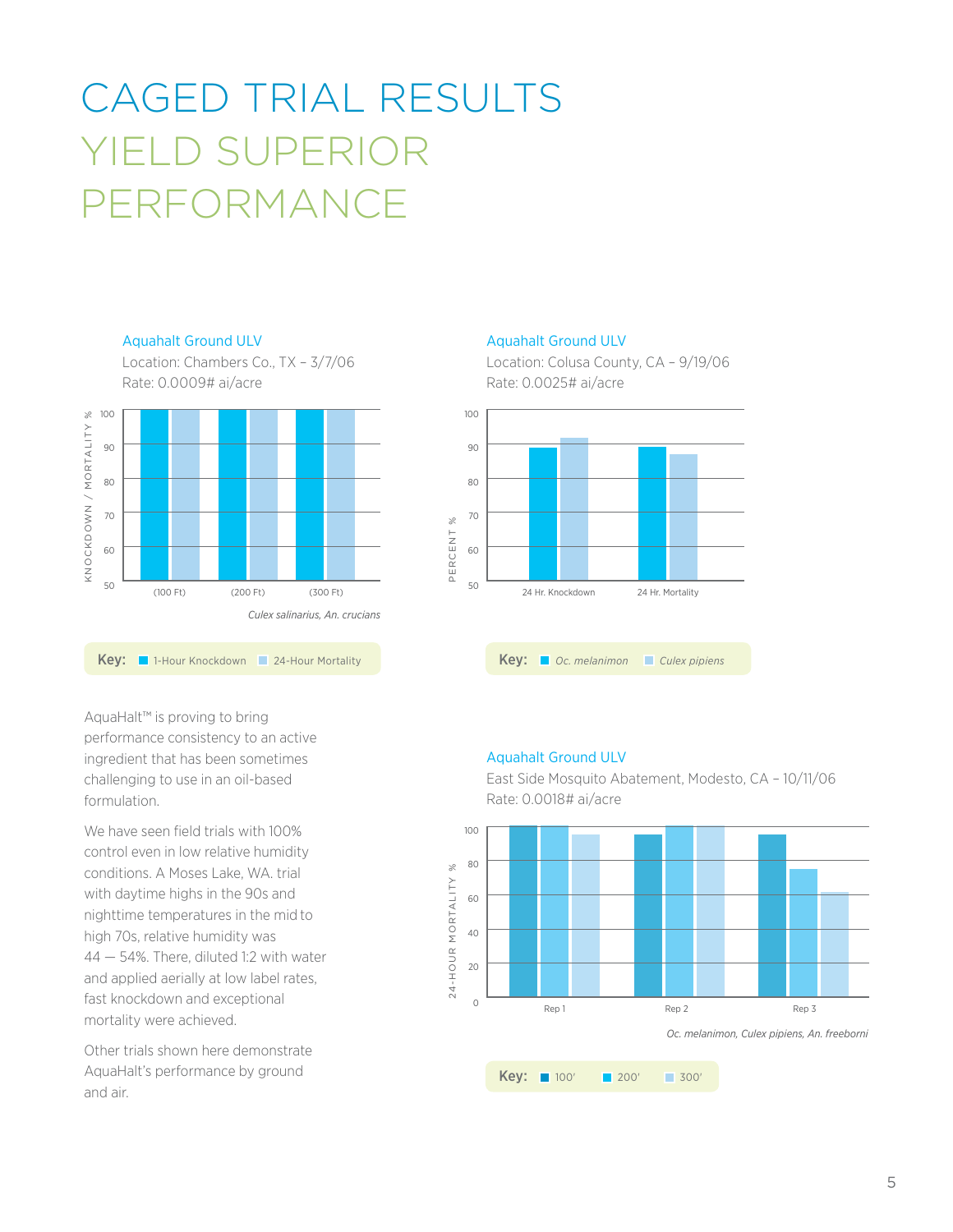### caged trial results Yield superior PERFORMANCE



Aquahalt Ground ULV

AquaHalt™ is proving to bring performance consistency to an active ingredient that has been sometimes challenging to use in an oil-based formulation.

We have seen field trials with 100% control even in low relative humidity conditions. A Moses Lake, WA. trial with daytime highs in the 90s and nighttime temperatures in the mid to high 70s, relative humidity was 44 — 54%. There, diluted 1:2 with water and applied aerially at low label rates, fast knockdown and exceptional mortality were achieved.

Other trials shown here demonstrate AquaHalt's performance by ground and air.

#### Aquahalt Ground ULV

Location: Colusa County, CA – 9/19/06 Rate: 0.0025# ai/acre



#### Aquahalt Ground ULV



East Side Mosquito Abatement, Modesto, CA – 10/11/06 Rate: 0.0018# ai/acre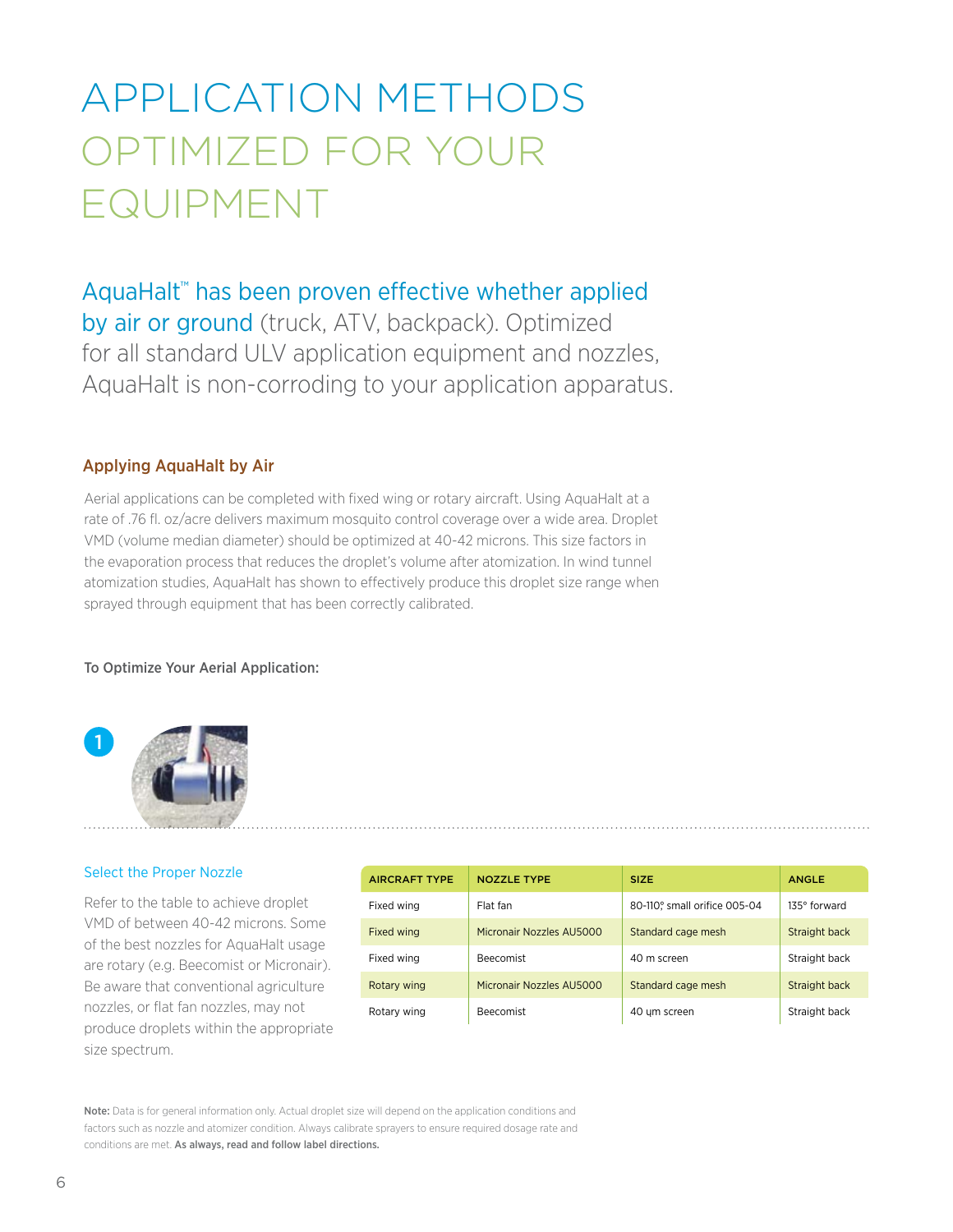### APPLICATION METHODS OPTIMIZED FOR YOUR EQUIPMENT

AquaHalt™ has been proven effective whether applied by air or ground (truck, ATV, backpack). Optimized for all standard ULV application equipment and nozzles, AquaHalt is non-corroding to your application apparatus.

#### Applying AquaHalt by Air

Aerial applications can be completed with fixed wing or rotary aircraft. Using AquaHalt at a rate of .76 fl. oz/acre delivers maximum mosquito control coverage over a wide area. Droplet VMD (volume median diameter) should be optimized at 40-42 microns. This size factors in the evaporation process that reduces the droplet's volume after atomization. In wind tunnel atomization studies, AquaHalt has shown to effectively produce this droplet size range when sprayed through equipment that has been correctly calibrated.

#### To Optimize Your Aerial Application:



#### Select the Proper Nozzle

Refer to the table to achieve droplet VMD of between 40-42 microns. Some of the best nozzles for AquaHalt usage are rotary (e.g. Beecomist or Micronair). Be aware that conventional agriculture nozzles, or flat fan nozzles, may not produce droplets within the appropriate size spectrum.

| <b>AIRCRAFT TYPE</b> | <b>NOZZLE TYPE</b>       | <b>SIZE</b>                  | <b>ANGLE</b>  |
|----------------------|--------------------------|------------------------------|---------------|
| Fixed wing           | Flat fan                 | 80-110° small orifice 005-04 | 135° forward  |
| Fixed wing           | Micronair Nozzles AU5000 | Standard cage mesh           | Straight back |
| Fixed wing           | <b>Beecomist</b>         | 40 m screen                  | Straight back |
| Rotary wing          | Micronair Nozzles AU5000 | Standard cage mesh           | Straight back |
| Rotary wing          | <b>Beecomist</b>         | 40 um screen                 | Straight back |

Note: Data is for general information only. Actual droplet size will depend on the application conditions and factors such as nozzle and atomizer condition. Always calibrate sprayers to ensure required dosage rate and conditions are met. As always, read and follow label directions.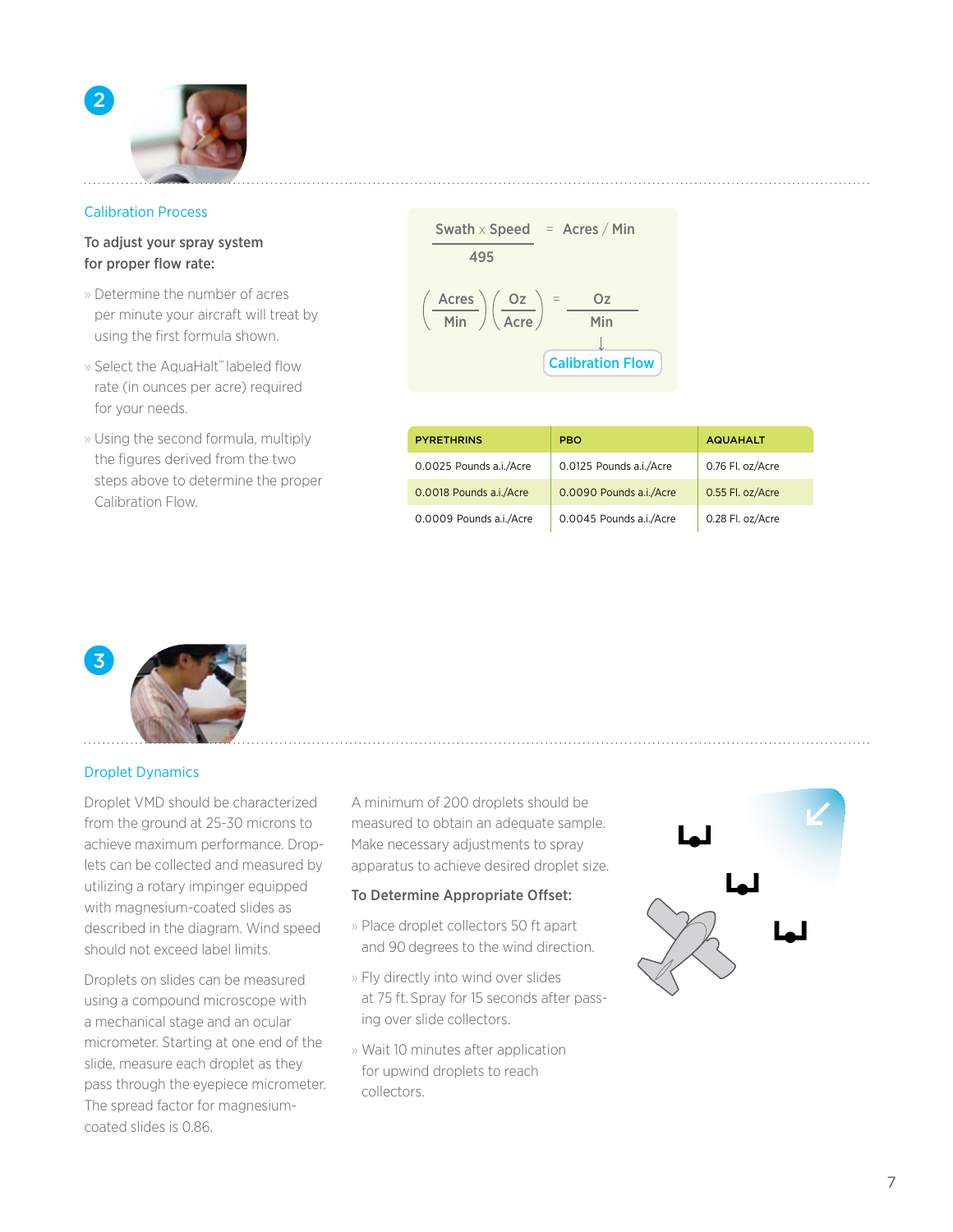

#### Calibration Process

#### To adjust your spray system for proper flow rate:

- » Determine the number of acres per minute your aircraft will treat by using the first formula shown.
- » Select the AquaHalt™ labeled flow rate (in ounces per acre) required for your needs.
- » Using the second formula, multiply the figures derived from the two steps above to determine the proper Calibration Flow.

| Swath × Speed                     | = | ACres / Min             |
|-----------------------------------|---|-------------------------|
| $495$                             | = | $Oz$                    |
| $\frac{\text{Acres}}{\text{Min}}$ | = | $\frac{Oz}{\text{Min}}$ |
| Calibration Flow                  |   |                         |

| <b>PYRETHRINS</b>       | <b>PBO</b>              | <b>AQUAHALT</b>  |
|-------------------------|-------------------------|------------------|
| 0.0025 Pounds a.i./Acre | 0.0125 Pounds a.i./Acre | 0.76 Fl. oz/Acre |
| 0.0018 Pounds a.i./Acre | 0.0090 Pounds a.i./Acre | 0.55 Fl. oz/Acre |
| 0.0009 Pounds a.i./Acre | 0.0045 Pounds a.i./Acre | 0.28 Fl. oz/Acre |



#### Droplet Dynamics

Droplet VMD should be characterized from the ground at 25-30 microns to achieve maximum performance. Droplets can be collected and measured by utilizing a rotary impinger equipped with magnesium-coated slides as described in the diagram. Wind speed should not exceed label limits.

Droplets on slides can be measured using a compound microscope with a mechanical stage and an ocular micrometer. Starting at one end of the slide, measure each droplet as they pass through the eyepiece micrometer. The spread factor for magnesiumcoated slides is 0.86.

A minimum of 200 droplets should be measured to obtain an adequate sample. Make necessary adjustments to spray apparatus to achieve desired droplet size.

#### To Determine Appropriate Offset:

- » Place droplet collectors 50 ft apart and 90 degrees to the wind direction.
- » Fly directly into wind over slides at 75 ft. Spray for 15 seconds after passing over slide collectors.
- » Wait 10 minutes after application for upwind droplets to reach collectors.

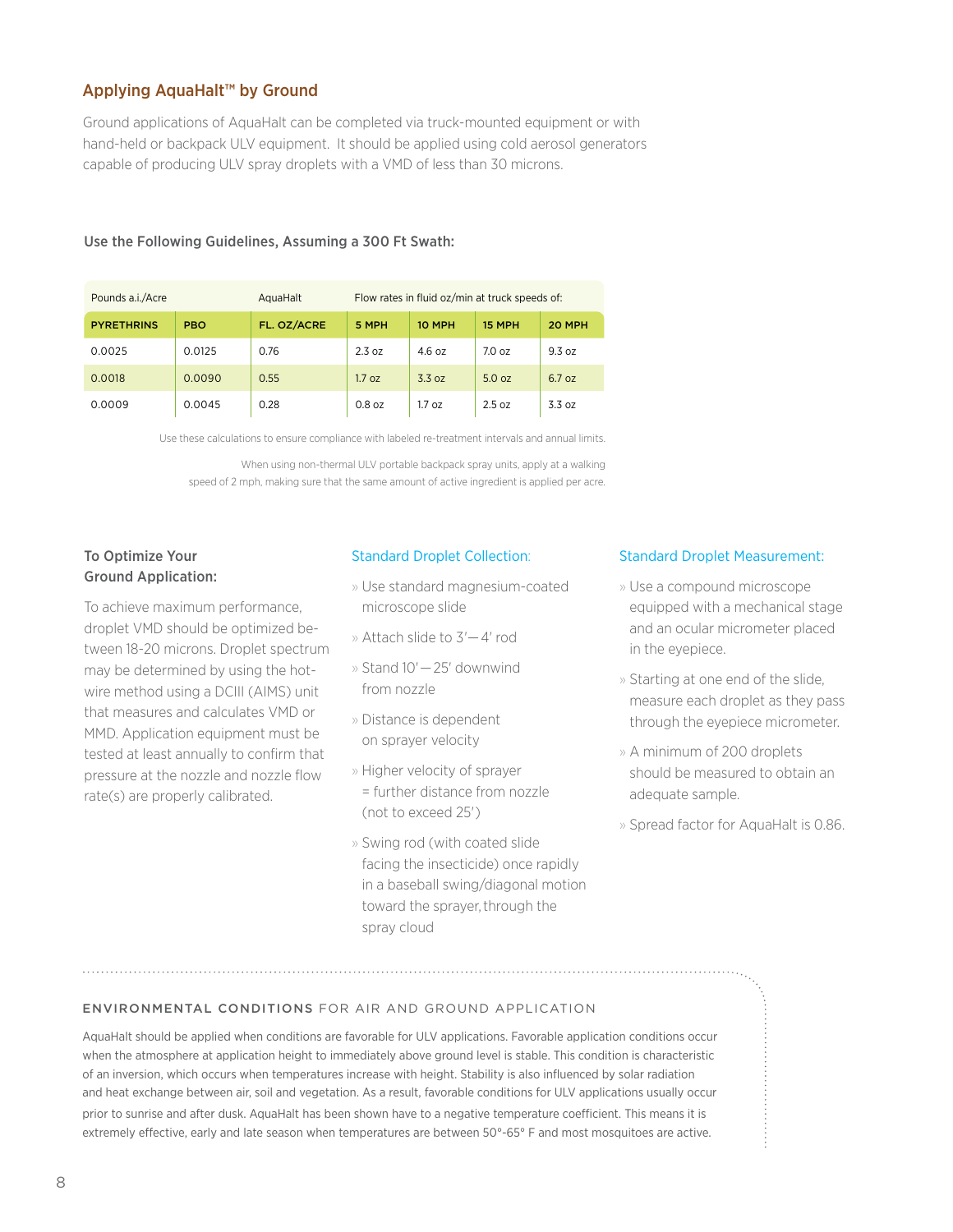#### Applying AquaHalt™ by Ground

Ground applications of AquaHalt can be completed via truck-mounted equipment or with hand-held or backpack ULV equipment. It should be applied using cold aerosol generators capable of producing ULV spray droplets with a VMD of less than 30 microns.

| Pounds a.i./Acre  |            | Flow rates in fluid oz/min at truck speeds of:<br>AquaHalt |          |                   |                   |        |
|-------------------|------------|------------------------------------------------------------|----------|-------------------|-------------------|--------|
| <b>PYRETHRINS</b> | <b>PBO</b> | FL. OZ/ACRE                                                | 5 MPH    | 10 MPH            | 15 MPH            | 20 MPH |
| 0.0025            | 0.0125     | 0.76                                                       | 2.3 oz   | 4.6 oz            | 7.0 <sub>oz</sub> | 9.3 oz |
| 0.0018            | 0.0090     | 0.55                                                       | 1.7 oz   | 3.3 oz            | 5.0 oz            | 6.7 oz |
| 0.0009            | 0.0045     | 0.28                                                       | $0.8$ oz | 1.7 <sub>oz</sub> | 2.5 oz            | 3.3 oz |

#### Use the Following Guidelines, Assuming a 300 Ft Swath:

Use these calculations to ensure compliance with labeled re-treatment intervals and annual limits.

When using non-thermal ULV portable backpack spray units, apply at a walking speed of 2 mph, making sure that the same amount of active ingredient is applied per acre.

#### To Optimize Your Ground Application:

To achieve maximum performance, droplet VMD should be optimized between 18-20 microns. Droplet spectrum may be determined by using the hotwire method using a DCIII (AIMS) unit that measures and calculates VMD or MMD. Application equipment must be tested at least annually to confirm that pressure at the nozzle and nozzle flow rate(s) are properly calibrated.

#### Standard Droplet Collection:

- » Use standard magnesium-coated microscope slide
- » Attach slide to 3'— 4' rod
- » Stand 10'— 25' downwind from nozzle
- » Distance is dependent on sprayer velocity
- » Higher velocity of sprayer = further distance from nozzle (not to exceed 25')
- » Swing rod (with coated slide facing the insecticide) once rapidly in a baseball swing/diagonal motion toward the sprayer, through the spray cloud

#### Standard Droplet Measurement:

- » Use a compound microscope equipped with a mechanical stage and an ocular micrometer placed in the eyepiece.
- » Starting at one end of the slide, measure each droplet as they pass through the eyepiece micrometer.
- » A minimum of 200 droplets should be measured to obtain an adequate sample.
- » Spread factor for AquaHalt is 0.86.

#### Environmental Conditions for air and ground application

AquaHalt should be applied when conditions are favorable for ULV applications. Favorable application conditions occur when the atmosphere at application height to immediately above ground level is stable. This condition is characteristic of an inversion, which occurs when temperatures increase with height. Stability is also influenced by solar radiation and heat exchange between air, soil and vegetation. As a result, favorable conditions for ULV applications usually occur prior to sunrise and after dusk. AquaHalt has been shown have to a negative temperature coefficient. This means it is extremely effective, early and late season when temperatures are between 50°-65° F and most mosquitoes are active.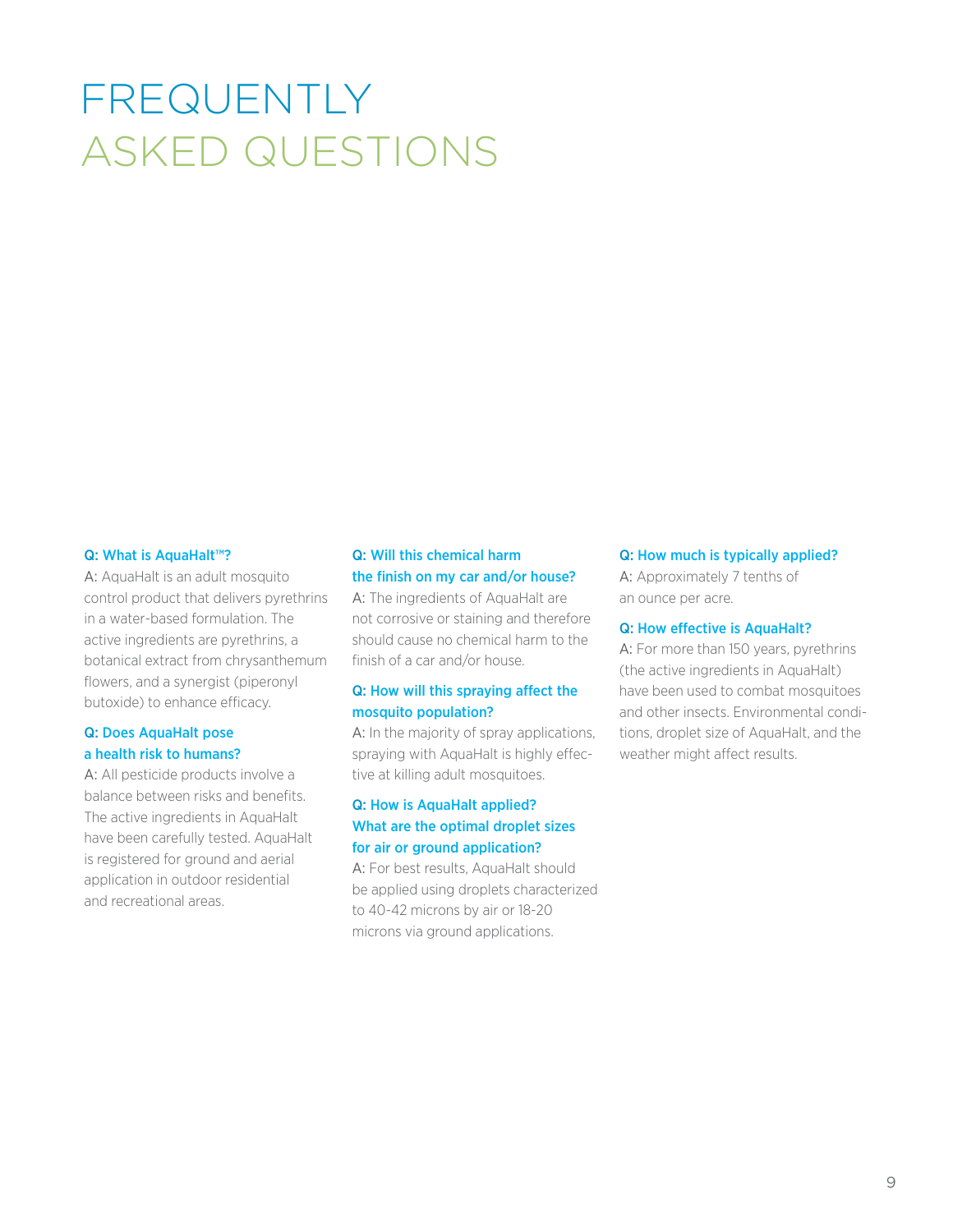## frequently asked questions

#### Q: What is AquaHalt™?

A: AquaHalt is an adult mosquito control product that delivers pyrethrins in a water-based formulation. The active ingredients are pyrethrins, a botanical extract from chrysanthemum flowers, and a synergist (piperonyl butoxide) to enhance efficacy.

#### Q: Does AquaHalt pose a health risk to humans?

A: All pesticide products involve a balance between risks and benefits. The active ingredients in AquaHalt have been carefully tested. AquaHalt is registered for ground and aerial application in outdoor residential and recreational areas.

#### Q: Will this chemical harm the finish on my car and/or house?

A: The ingredients of AquaHalt are not corrosive or staining and therefore should cause no chemical harm to the finish of a car and/or house.

#### Q: How will this spraying affect the mosquito population?

A: In the majority of spray applications, spraying with AquaHalt is highly effective at killing adult mosquitoes.

#### Q: How is AquaHalt applied? What are the optimal droplet sizes for air or ground application?

A: For best results, AquaHalt should be applied using droplets characterized to 40-42 microns by air or 18-20 microns via ground applications.

#### Q: How much is typically applied?

A: Approximately 7 tenths of an ounce per acre.

#### Q: How effective is AquaHalt?

A: For more than 150 years, pyrethrins (the active ingredients in AquaHalt) have been used to combat mosquitoes and other insects. Environmental conditions, droplet size of AquaHalt, and the weather might affect results.